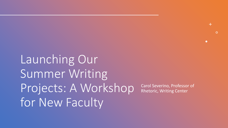Launching Our Summer Writing Projects: A Workshop for New Faculty

Carol Severino, Professor of Rhetoric, Writing Center

 $+$ 

 $\bullet$ 

 $\overline{O}$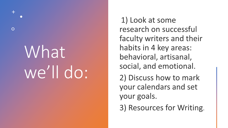# What we'll do:

 $\overline{O}$ 

1) Look at some research on successful faculty writers and their habits in 4 key areas: behavioral, artisanal, social, and emotional. 2) Discuss how to mark your calendars and set your goals. 3) Resources for Writing.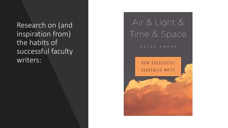Research on (and inspiration from) the habits of successful faculty writers:

## Air & Light & Time & Space

HELEN SWORD

#### HOW SUCCESSFUL ACADEMICS WRITE

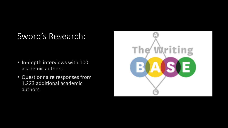#### Sword's Research:

- · In-depth interviews with 100 academic authors.
- Questionnaire responses from 1,223 additional academic authors.

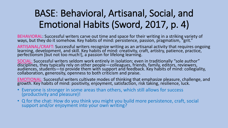### BASE: Behavioral, Artisanal, Social, and Emotional Habits (Sword, 2017, p. 4)

BEHAVIORAL: Successful writers carve out time and space for their writing in a striking variety of ways, but they do it somehow. Key habits of mind: persistence, passion, pragmatism, "grit."

ARTISANAL/CRAFT: Successful writers recognize writing as an artisanal activity that requires ongoing<br>learning, development, and skill. Key habits of mind: creativity, craft, artistry, patience, practice, perfectionsm [but not too much!], a passion for lifelong learning.

SOCIAL: Successful writers seldom work entirely in isolation; even in traditionally "sole author"<br>disciplines, they typically rely on other people—colleagues, friends, family, editors, reviewers,<br>audiences, students—to pro

EMOTIONAL: Successful writers cultivate modes of thinking that emphasize pleasure, challenge, and growth. Key habits of mind: positivity, enjoyment, satisfaction, risk taking, resilience, luck.

- Everyone is stronger in some areas than others, which still allows for success (productivity and pleasure)!
- Q for the chat: How do you think you might you build more persistence, craft, social support and/or enjoyment into your own writing?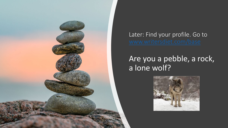

Later: Find your profile. Go to

#### Are you a pebble, a rock, a lone wolf?

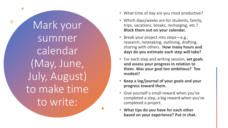Mark your summer calendar (May, June, July, August) to make time to write:

 $+$ 

 $\overline{O}$ 

- What time of day are you most productive?
- Which days/weeks are for students, family, trips, vacations, breaks, recharging, etc.? Block them out on your calendar.
- Break your project into steps—e.g.,  $\bullet$ research, notetaking, outlining, drafting, sharing with others. How many hours and days do you estimate each step will take?
- For each step and writing session, set goals and assess your progress in relation to them. Was your goal too ambitious? Too modest?
- Keep a log/journal of your goals and your progress toward them.
- Give yourself a small reward when you've completed a step, a big reward when you've completed a project.
- What tips do you have for each other based on your experience? Put in chat.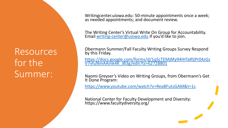#### Resources for the Summer:

Writingcenter.uiowa.edu: 50-minute appointments once a week; as needed appointments; and document review.

The Writing Center's Virtual Write On Group for Accountability. Email [writing-center@uiowa.edu](mailto:writing-center@uiowa.edu) if you'd like to join.

Obermann Summer/Fall Faculty Writing Groups Survey Respond by this Friday.

[https://docs.google.com/forms/d/1qScTEMjMy94IHTaRljPr04zGs](https://docs.google.com/forms/d/1qScTEMjMy94IHTaRljPr04zGsV7vfuNmAAmk4K_JB3g/edit?ts=62728801) V7vfuNmAAmk4K\_JB3g/edit?ts=62728801

Naomi Greyser's Video on Writing Groups, from Obermann's Get It Done Program:

<https://www.youtube.com/watch?v=ReaBFutsGAM&t=1s>

National Center for Faculty Development and Diversity: https://www.facultydiversity.org/